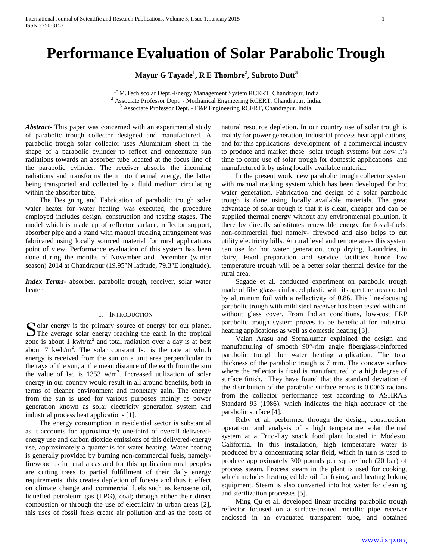# **Performance Evaluation of Solar Parabolic Trough**

**Mayur G Tayade<sup>1</sup> , R E Thombre<sup>2</sup> , Subroto Dutt<sup>3</sup>**

<sup>1\*</sup> M.Tech scolar Dept.-Energy Management System RCERT, Chandrapur, India <sup>2</sup> Associate Professor Dept. - Mechanical Engineering RCERT, Chandrapur, India. <sup>3</sup> Associate Professor Dept. - E&P Engineering RCERT, Chandrapur, India.

*Abstract***-** This paper was concerned with an experimental study of parabolic trough collector designed and manufactured. A parabolic trough solar collector uses Aluminium sheet in the shape of a parabolic cylinder to reflect and concentrate sun radiations towards an absorber tube located at the focus line of the parabolic cylinder. The receiver absorbs the incoming radiations and transforms them into thermal energy, the latter being transported and collected by a fluid medium circulating within the absorber tube.

 The Designing and Fabrication of parabolic trough solar water heater for water heating was executed, the procedure employed includes design, construction and testing stages. The model which is made up of reflector surface, reflector support, absorber pipe and a stand with manual tracking arrangement was fabricated using locally sourced material for rural applications point of view. Performance evaluation of this system has been done during the months of November and December (winter season) 2014 at Chandrapur (19.95°N latitude, 79.3°E longitude).

*Index Terms*- absorber, parabolic trough, receiver, solar water heater

# I. INTRODUCTION

Solar energy is the primary source of energy for our planet.<br>The average solar energy reaching the earth in the tropical  $\sum$ The average solar energy reaching the earth in the tropical zone is about  $1 \text{ kWh/m}^2$  and total radiation over a day is at best about 7 kwh/ $m^2$ . The solar constant Isc is the rate at which energy is received from the sun on a unit area perpendicular to the rays of the sun, at the mean distance of the earth from the sun the value of Isc is 1353 w/m<sup>2</sup>. Increased utilization of solar energy in our country would result in all around benefits, both in terms of cleaner environment and monetary gain. The energy from the sun is used for various purposes mainly as power generation known as solar electricity generation system and industrial process heat applications [1].

 The energy consumption in residential sector is substantial as it accounts for approximately one-third of overall deliveredenergy use and carbon dioxide emissions of this delivered-energy use, approximately a quarter is for water heating. Water heating is generally provided by burning non-commercial fuels, namelyfirewood as in rural areas and for this application rural peoples are cutting trees to partial fulfillment of their daily energy requirements, this creates depletion of forests and thus it effect on climate change and commercial fuels such as kerosene oil, liquefied petroleum gas (LPG), coal; through either their direct combustion or through the use of electricity in urban areas [2], this uses of fossil fuels create air pollution and as the costs of natural resource depletion. In our country use of solar trough is mainly for power generation, industrial process heat applications, and for this applications development of a commercial industry to produce and market these solar trough systems but now it's time to come use of solar trough for domestic applications and manufactured it by using locally available material.

 In the present work, new parabolic trough collector system with manual tracking system which has been developed for hot water generation, Fabrication and design of a solar parabolic trough is done using locally available materials. The great advantage of solar trough is that it is clean, cheaper and can be supplied thermal energy without any environmental pollution. It there by directly substitutes renewable energy for fossil-fuels, non-commercial fuel namely- firewood and also helps to cut utility electricity bills. At rural level and remote areas this system can use for hot water generation, crop drying, Laundries, in dairy, Food preparation and service facilities hence low temperature trough will be a better solar thermal device for the rural area.

 Sagade et al. conducted experiment on parabolic trough made of fiberglass-reinforced plastic with its aperture area coated by aluminum foil with a reflectivity of 0.86. This line-focusing parabolic trough with mild steel receiver has been tested with and without glass cover. From Indian conditions, low-cost FRP parabolic trough system proves to be beneficial for industrial heating applications as well as domestic heating [3].

 Valan Arasu and Sornakumar explained the design and manufacturing of smooth 90°-rim angle fiberglass-reinforced parabolic trough for water heating application. The total thickness of the parabolic trough is 7 mm. The concave surface where the reflector is fixed is manufactured to a high degree of surface finish. They have found that the standard deviation of the distribution of the parabolic surface errors is 0.0066 radians from the collector performance test according to ASHRAE Standard 93 (1986), which indicates the high accuracy of the parabolic surface [4].

 Ruby et al. performed through the design, construction, operation, and analysis of a high temperature solar thermal system at a Frito‐Lay snack food plant located in Modesto, California. In this installation, high temperature water is produced by a concentrating solar field, which in turn is used to produce approximately 300 pounds per square inch (20 bar) of process steam. Process steam in the plant is used for cooking, which includes heating edible oil for frying, and heating baking equipment. Steam is also converted into hot water for cleaning and sterilization processes [5].

 Ming Qu et al. developed linear tracking parabolic trough reflector focused on a surface-treated metallic pipe receiver enclosed in an evacuated transparent tube, and obtained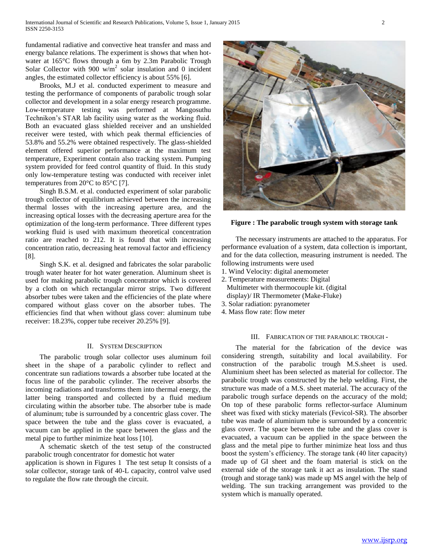fundamental radiative and convective heat transfer and mass and energy balance relations. The experiment is shows that when hotwater at  $165^{\circ}$ C flows through a 6m by 2.3m Parabolic Trough Solar Collector with 900  $\text{w/m}^2$  solar insulation and 0 incident angles, the estimated collector efficiency is about 55% [6].

 Brooks, M.J et al. conducted experiment to measure and testing the performance of components of parabolic trough solar collector and development in a solar energy research programme. Low-temperature testing was performed at Mangosuthu Technikon's STAR lab facility using water as the working fluid. Both an evacuated glass shielded receiver and an unshielded receiver were tested, with which peak thermal efficiencies of 53.8% and 55.2% were obtained respectively. The glass-shielded element offered superior performance at the maximum test temperature, Experiment contain also tracking system. Pumping system provided for feed control quantity of fluid. In this study only low-temperature testing was conducted with receiver inlet temperatures from 20°C to 85°C [7].

 Singh B.S.M. et al. conducted experiment of solar parabolic trough collector of equilibrium achieved between the increasing thermal losses with the increasing aperture area, and the increasing optical losses with the decreasing aperture area for the optimization of the long-term performance. Three different types working fluid is used with maximum theoretical concentration ratio are reached to 212. It is found that with increasing concentration ratio, decreasing heat removal factor and efficiency [8].

 Singh S.K. et al. designed and fabricates the solar parabolic trough water heater for hot water generation. Aluminum sheet is used for making parabolic trough concentrator which is covered by a cloth on which rectangular mirror strips. Two different absorber tubes were taken and the efficiencies of the plate where compared without glass cover on the absorber tubes. The efficiencies find that when without glass cover: aluminum tube receiver: 18.23%, copper tube receiver 20.25% [9].

## II. SYSTEM DESCRIPTION

 The parabolic trough solar collector uses aluminum foil sheet in the shape of a parabolic cylinder to reflect and concentrate sun radiations towards a absorber tube located at the focus line of the parabolic cylinder. The receiver absorbs the incoming radiations and transforms them into thermal energy, the latter being transported and collected by a fluid medium circulating within the absorber tube. The absorber tube is made of aluminum; tube is surrounded by a concentric glass cover. The space between the tube and the glass cover is evacuated, a vacuum can be applied in the space between the glass and the metal pipe to further minimize heat loss [10].

 A schematic sketch of the test setup of the constructed parabolic trough concentrator for domestic hot water

application is shown in Figures 1 The test setup It consists of a solar collector, storage tank of 40-L capacity, control valve used to regulate the flow rate through the circuit.



**Figure : The parabolic trough system with storage tank**

 The necessary instruments are attached to the apparatus. For performance evaluation of a system, data collection is important, and for the data collection, measuring instrument is needed. The following instruments were used

- 1. Wind Velocity: digital anemometer
- 2. Temperature measurements: Digital Multimeter with thermocouple kit. (digital
	- display)/ IR Thermometer (Make-Fluke)
- 3. Solar radiation: pyranometer
- 4. Mass flow rate: flow meter

## III. FABRICATION OF THE PARABOLIC TROUGH -

 The material for the fabrication of the device was considering strength, suitability and local availability. For construction of the parabolic trough M.S.sheet is used. Aluminium sheet has been selected as material for collector. The parabolic trough was constructed by the help welding. First, the structure was made of a M.S. sheet material. The accuracy of the parabolic trough surface depends on the accuracy of the mold; On top of these parabolic forms reflector-surface Aluminum sheet was fixed with sticky materials (Fevicol-SR). The absorber tube was made of aluminium tube is surrounded by a concentric glass cover. The space between the tube and the glass cover is evacuated, a vacuum can be applied in the space between the glass and the metal pipe to further minimize heat loss and thus boost the system's efficiency. The storage tank (40 liter capacity) made up of GI sheet and the foam material is stick on the external side of the storage tank it act as insulation. The stand (trough and storage tank) was made up MS angel with the help of welding. The sun tracking arrangement was provided to the system which is manually operated.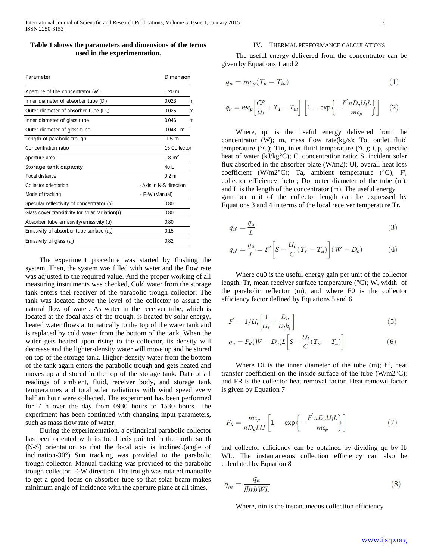# **Table 1 shows the parameters and dimensions of the terms used in the experimentation.**

| Parameter                                                | Dimension               |
|----------------------------------------------------------|-------------------------|
| Aperture of the concentrator (W)                         | 1.20 <sub>m</sub>       |
| Inner diameter of absorber tube $(D_i)$                  | 0.023<br>m              |
| Outer diameter of absorber tube $(D_0)$                  | 0.025<br>m              |
| Inner diameter of glass tube                             | 0.046<br>m              |
| Outer diameter of glass tube                             | 0.048<br>m              |
| Length of parabolic trough                               | 1.5 <sub>m</sub>        |
| Concentration ratio                                      | 15 Collector            |
| aperture area                                            | 1.8 $m2$                |
| Storage tank capacity                                    | 40 L                    |
| Focal distance                                           | 0.2 <sub>m</sub>        |
| Collector orientation                                    | - Axis in N-S direction |
| Mode of tracking                                         | - E-W (Manual)          |
| Specular reflectivity of concentrator $(\rho)$           | 0.80                    |
| Glass cover transitivity for solar radiation(T)          | 0.80                    |
| Absorber tube emissivity/emissivity $(\alpha)$           | 0.80                    |
| Emissivity of absorber tube surface $(\epsilon_{\rm o})$ | 0.15                    |
| Emissivity of glass $(\epsilon_c)$                       | 0.82                    |

 The experiment procedure was started by flushing the system. Then, the system was filled with water and the flow rate was adjusted to the required value. And the proper working of all measuring instruments was checked, Cold water from the storage tank enters thel receiver of the parabolic trough collector. The tank was located above the level of the collector to assure the natural flow of water. As water in the receiver tube, which is located at the focal axis of the trough, is heated by solar energy, heated water flows automatically to the top of the water tank and is replaced by cold water from the bottom of the tank. When the water gets heated upon rising to the collector, its density will decrease and the lighter-density water will move up and be stored on top of the storage tank. Higher-density water from the bottom of the tank again enters the parabolic trough and gets heated and moves up and stored in the top of the storage tank. Data of all readings of ambient, fluid, receiver body, and storage tank temperatures and total solar radiations with wind speed every half an hour were collected. The experiment has been performed for 7 h over the day from 0930 hours to 1530 hours. The experiment has been continued with changing input parameters, such as mass flow rate of water.

 During the experimentation, a cylindrical parabolic collector has been oriented with its focal axis pointed in the north–south (N-S) orientation so that the focal axis is inclined.(angle of inclination-30°) Sun tracking was provided to the parabolic trough collector. Manual tracking was provided to the parabolic trough collector. E-W direction. The trough was rotated manually to get a good focus on absorber tube so that solar beam makes minimum angle of incidence with the aperture plane at all times.

#### IV. THERMAL PERFORMANCE CALCULATIONS

 The useful energy delivered from the concentrator can be given by Equations 1 and 2

$$
q_u = mc_p (T_o - T_{in})
$$
\n(1)

$$
q_u = mc_p \left[ \frac{CS}{U_l} + T_a - T_{in} \right] \left[ 1 - \exp \left\{ - \frac{F' \pi D_o U_l L}{m c_p} \right\} \right] \tag{2}
$$

 Where, qu is the useful energy delivered from the concentrator (W); m, mass flow rate(kg/s); To, outlet fluid temperature ( $^{\circ}$ C); Tin, inlet fluid temperature ( $^{\circ}$ C); Cp, specific heat of water (kJ/kg°C); C, concentration ratio; S, incident solar flux absorbed in the absorber plate (W/m2); Ul, overall heat loss coefficient (W/m2°C); Ta, ambient temperature (°C); F', collector efficiency factor; Do, outer diameter of the tube (m); and L is the length of the concentrator (m). The useful energy gain per unit of the collector length can be expressed by Equations 3 and 4 in terms of the local receiver temperature Tr.

$$
q_{u'} = \frac{q_u}{L} \tag{3}
$$

$$
q_{u'} = \frac{q_u}{L} = F' \left[ S - \frac{U_l}{C} (T_r - T_a) \right] (W - D_o) \tag{4}
$$

 Where qu0 is the useful energy gain per unit of the collector length; Tr, mean receiver surface temperature (°C); W, width of the parabolic reflector (m), and where F0 is the collector efficiency factor defined by Equations 5 and 6

$$
F' = 1/U_l \left[ \frac{1}{U_l} + \frac{D_o}{D_i h_f} \right] \tag{5}
$$

$$
q_u = F_R(W - D_o)L \left[ S - \frac{U_l}{C} (T_{in} - T_a) \right]
$$
 (6)

 Where Di is the inner diameter of the tube (m); hf, heat transfer coefficient on the inside surface of the tube (W/m2°C); and FR is the collector heat removal factor. Heat removal factor is given by Equation 7

$$
F_R = \frac{mc_p}{\pi D_o L U} \left[ 1 - \exp\left\{ -\frac{F' \pi D_o U_l L}{mc_p} \right\} \right] \tag{7}
$$

and collector efficiency can be obtained by dividing qu by Ib WL. The instantaneous collection efficiency can also be calculated by Equation 8

$$
\eta_{in} = \frac{q_u}{IbrbWL} \tag{8}
$$

Where, nin is the instantaneous collection efficiency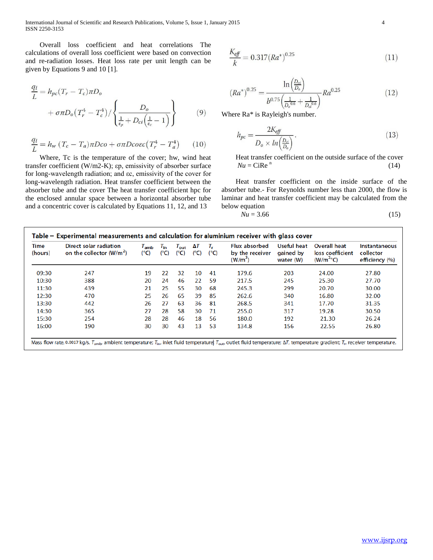International Journal of Scientific and Research Publications, Volume 5, Issue 1, January 2015 4 ISSN 2250-3153

 Overall loss coefficient and heat correlations The calculations of overall loss coefficient were based on convection and re-radiation losses. Heat loss rate per unit length can be given by Equations 9 and 10 [1].

$$
\frac{q_l}{L} = h_{pc}(T_r - T_c)\pi D_o
$$
  
+  $\sigma \pi D_o (T_r^4 - T_c^4) / \left\{ \frac{D_o}{\frac{1}{\epsilon_p} + D_{ci} (\frac{1}{\epsilon_c} - 1)} \right\}$  (9)

$$
\frac{q_l}{L} = h_w \left( T_c - T_a \right) \pi Dco + \sigma \pi Dcoec \left( T_r^4 - T_a^4 \right) \tag{10}
$$

 Where, Tc is the temperature of the cover; hw, wind heat transfer coefficient (W/m2-K); εp, emissivity of absorber surface for long-wavelength radiation; and εc, emissivity of the cover for long-wavelength radiation. Heat transfer coefficient between the absorber tube and the cover The heat transfer coefficient hpc for the enclosed annular space between a horizontal absorber tube and a concentric cover is calculated by Equations 11, 12, and 13

$$
\frac{K_{\text{eff}}}{k} = 0.317 \left( Ra^* \right)^{0.25} \tag{11}
$$

$$
(Ra^*)^{0.25} = \frac{\ln\left(\frac{D_{ci}}{D_o}\right)}{b^{0.75}\left(\frac{1}{D_o^{0.6}} + \frac{1}{D_o^{10.6}}\right)}Ra^{0.25}
$$
(12)

Where Ra\* is Rayleigh's number.

$$
h_{pc} = \frac{2K_{\text{eff}}}{D_o \times ln\left(\frac{D_{\text{cl}}}{D_o}\right)}\,. \tag{13}
$$

 Heat transfer coefficient on the outside surface of the cover  $Nu = CiRe<sup>n</sup>$  $(14)$ 

 Heat transfer coefficient on the inside surface of the absorber tube.- For Reynolds number less than 2000, the flow is laminar and heat transfer coefficient may be calculated from the below equation

$$
Nu = 3.66\tag{15}
$$

| Time<br>(hours) | Direct solar radiation<br>on the collector $(W/m2)$ | $T_{amb}$<br>$(^{\circ}C)$ | $T_{\rm in}$<br>(°C) | $T_{\sf out}$<br>$(^{\circ}C)$ | ΔT<br>$(C^{\circ}C)$ | т.<br>$(^{\circ}C)$ | <b>Flux absorbed</b><br>by the receiver<br>(W/m <sup>2</sup> ) | Useful heat<br>gained by<br>water (W) | Overall heat<br>loss coefficient<br>$(W/m^{2o}C)$ | Instantaneous<br>collector<br>efficiency (%) |
|-----------------|-----------------------------------------------------|----------------------------|----------------------|--------------------------------|----------------------|---------------------|----------------------------------------------------------------|---------------------------------------|---------------------------------------------------|----------------------------------------------|
| 09:30           | 247                                                 | 19                         | 22                   | 32                             | 10                   | 41                  | 179.6                                                          | 203                                   | 24.00                                             | 27.80                                        |
| 10:30           | 388                                                 | 20                         | 24                   | 46                             | 22                   | 59                  | 217.5                                                          | 245                                   | 25.30                                             | 27.70                                        |
| 11:30           | 439                                                 | 21                         | 25                   | 55                             | 30                   | 68                  | 245.3                                                          | 299                                   | 20.70                                             | 30.00                                        |
| 12:30           | 470                                                 | 25                         | 26                   | 65                             | 39                   | 85                  | 262.6                                                          | 340                                   | 16.80                                             | 32.00                                        |
| 13:30           | 442                                                 | 26                         | 27                   | 63                             | 36                   | 81                  | 268.5                                                          | 341                                   | 17.70                                             | 31.35                                        |
| 14:30           | 365                                                 | 27                         | 28                   | 58                             | 30                   | 71                  | 255.0                                                          | 317                                   | 19.28                                             | 30.50                                        |
| 15:30           | 254                                                 | 28                         | 28                   | 46                             | 18                   | 56                  | 180.0                                                          | 192                                   | 21.30                                             | 26.24                                        |
| 16:00           | 190                                                 | 30                         | 30                   | 43                             | 13                   | 53                  | 134.8                                                          | 156                                   | 22.55                                             | 26.80                                        |